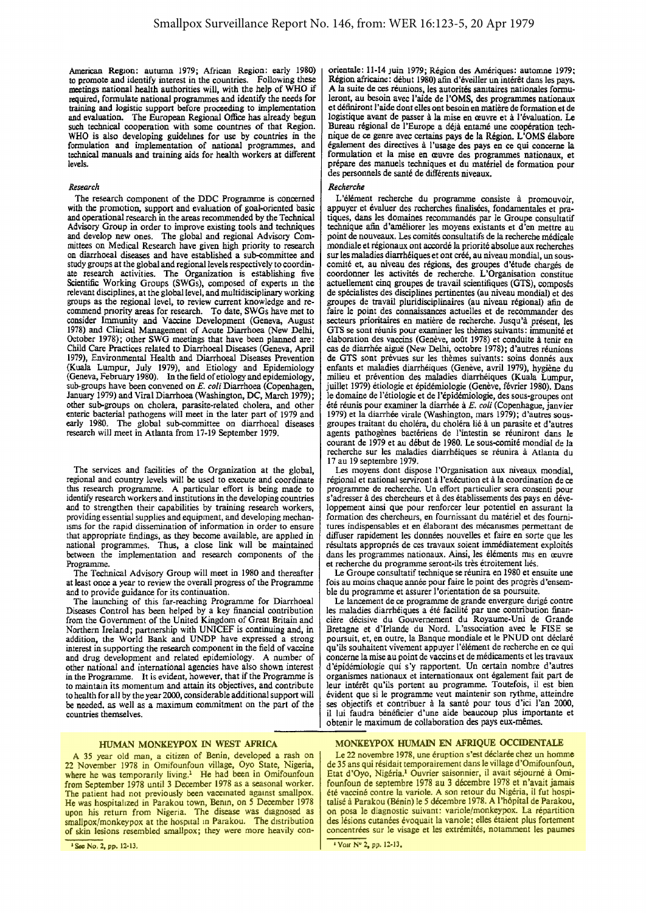American Region: autumn !979; African Region: early 1980) to promote and identify interest in the countries. Following these meetings national health authorities will, with the help of WHO if required, formulate national programmes and identify the needs for training and logistic support before proceeding to implementation and evaluation. The European Regional Office has already begun such technical cooperation with some countnes of that Region. WHO is also developing guidelmes for use by countries in the formulation and implementation of national programmes, and technical manuals and training aids for health workers at different levels.

## *Research*

The research component of the DDC Programme is concerned with the promotion, support and evaluation of goal-oriented basic and operational research in the areas recommended by the Technical Advisory Group in order to improve existing tools and techniques and develop new ones. The global and regional Advisory Committees on Medical Research have given high priority to research on diarrhoeal diseases and have established a sub-committee and study groups at the global and regional levels respectively to coordinate research activities. The Organization is establishing five Scientific Working Groups (SWGs), composed of experts m the relevant disciplines, at the global level, and multidisciplinary working groups as the regional level, to review current knowledge and recommend pnority areas for research. To date, SWGs have met to consider Immunity and Vaccine Development (Geneva, August 1978) and Clinical Management of Acute Diarrhoea (New Delhi, October 1978); other SWG meetings that have been planned are: Child Care Practices related to Diarrhoeal Diseases (Geneva, April 1979), Environmental Health and Diarrhoeal Diseases Prevention (Kuala Lumpur, July 1979), and Etiology and Epidemiology (Geneva, February 1980). In the field of etiology and epidemiology, sub-groups have been convened on E. *coli* Diarrhoea (Copenhagen, January 1979) and Viral Diarrhoea (Washington, DC, March 1979); other sub-groups on cholera, parasite-related cholera, and other enteric bacterial pathogens will meet in the later part of 1979 and early 1980. The global sub-committee on diarrhoeal diseases research will meet in Atlanta from 17-19 September 1979.

The services and facilities of the Organization at the global, regional and country levels will be used to execute and coordinate this research programme. A particular effort is being made to identify research workers and institutions in the developing countries and to strengthen their capabilities by training research workers, providing essential supplies and equipment, and developing mechanisms for the rapid dissemination of information in order to ensure that appropriate findings, as they become available, are applied in national programmes. Thus, a close link Will be maintained between the implementation and research components of the Programme.

The Technical Advisory Group will meet in 1980 and thereafter at least once a year to review the overall progress of the Programme and to provide guidance for its continuation.

The launching of this far-reaching Programme for Diarrhoeal Diseases Control has been helped by a key financial contribution from the Government of the United Kingdom of Great Britain and Northern Ireland; partnership with UNICEF is continuing and, in addition, the World Bank and UNDP have expressed a strong interest in supporting the research component in the field of vaccine and drug development and related epidemiology. A number of other national and international agencies have also shown interest in the Programme. It is evident, however, that if the Programme is to maintain its momentum and attain its objectives, and contribute to health for all by the year 2000, considerable additional support will be needed. as well as a maximum commitment on the part of the countries themselves.

## HUMAN MONKEYPOX IN WEST AFRICA

A 35 year old man, a citizen of Benin, developed a rash on 22 November 1978 in Omifounfoun village, Oyo State, Nigeria, where he was temporarily living.<sup>1</sup> He had been in Omifounfoun from September 1978 until 3 December 1978 as a seasonal worker. The patient had not previously been vaccinated against smallpox. He was hospitalized in Parakou town, Bemn, on 5 December 1978 upon his return from Nigeria. The disease was diagnosed as smallpox/monkeypox at the hospital in Parakou. The distribution of skin lesions resembled smallpox; they were more heavily con·

• Soc No. 2, pp. 12-13.

orientale: 11-14 JUin 1979; Region des Ameriques: automne 1979; Region africaine: debut 1980) afin d 'evelller un interet dans les pays. A la suite de ces réunions, les autorités sanitaires nationales formuleront, au besoin avec !'aide de !'OMS, des programmes nationaux et definiront I 'aide dont elles ont besoin en matiere de formation et de logistique avant de passer a Ia mise en a:uvre et a !'evaluation. Le Bureau regional de !'Europe a deja entame une cooperation tech· nique de ce geme avec certains pays de Ia Region. L'OMS elabore egalement des directives a !'usage des pays en ce qui conceme Ia formulation et la mise en œuvre des programmes nationaux, et prepare des manuels techniques et du materiel de formation pour des personnels de sante de differents niveaux.

## *Recherche*

L'élément recherche du programme consiste à promouvoir, appuyer et évaluer des recherches finalisées, fondamentales et pratiques, dans les domaines recommandes par le Groupe consultatif technique afin d'ameliorer les moyens existants et d'en mettre au point de nouveaux. Les comites consultatifs de Ia recherche medicate mondiale et regionaux ont accorde Ia priorite absolue aux recherches sur les maladies diarrhéiques et ont créé, au niveau mondial, un souscomite et, au niveau des regions, des groupes d'etude charges de coordonner les activites de recherche. L'Organisation constitue actuellement cinq groupes de travail scientifiques (GTS), composés de specialistes des disciplines pertinentes (au niveau mondial) et des groupes de travail pluridisciplinaires (au niveau regional) afin de faire le point des connaissances actuelles et de recommander des secteurs prioritaires en matiere de recherche. Jusqu'a present, les GTS se sont reunis pour examiner les themes suivants: immunite et élaboration des vaccins (Genève, août 1978) et conduite à tenir en cas de diarrhee aigue (New Delhi, octobre 1978); d'autres reunions de GTS sont prévues sur les thèmes suivants: soins donnés aux enfants et maladies diarrhéiques (Genève, avril 1979), hygiène du milieu et prevention des maladies diarrheiques (Kuala Lumpur, juillet 1979) étiologie et épidémiologie (Genève, février 1980). Dans le domaine de l'etiologie et de I'epidemiologie, des sous-groupes ont ete reunis pour examiner Ia diarrhee a E. *coli* (Copenhague, janvier 1979) et Ia diarrhee virale (Washington, mars 1979); d'autres sousgroupes traitant du cholera, du cholera lie a un parasite et d'autres agents pathogènes bactériens de l'intestin se réuniront dans le courant de 1979 et au debut de 1980. Le sous-comite rnondial de Ia recherche sur les maladies diarrhéiques se réunira à Atlanta du 17 au 19 septembre 1979.

Les moyens dont dispose l'Organisation aux niveaux mondial, régional et national serviront à l'exécution et à la coordination de ce programme de recherche. Un effort particulier sera consenti pour s'adresser a des chercheurs et a des etablissements des pays en developpement ainsi que pour renforcer leur potentiel en assurant Ia formation des chercheurs, en fournissant du materiel et des fournitures indispensables et en élaborant des mécanismes permettant de diffuser rapidement les données nouvelles et faire en sorte que les résultats appropriés de ces travaux soient immédiatement exploités dans les programmes nationaux. Ainsi, les éléments mis en ceuvre et recherche du programme seront-ils très étroitement liés.

Le Groupe consultatif technique se reunira en 1980 et ensuite une fois au moins chaque annee pour faire le point des progres d'ensem· ble du programme et assurer !'orientation de sa poursuite.

Le lancement de ce programme de grande envergure dirige contre les maladies diarrhéiques a été facilité par une contribution financiere decisive du Gouvemement du Royaurne-Uni de Grande Bretagne et d'Irlande du Nord. L'association avec Ie FISE se poursuit, et, en outre, Ia Banque mondiale et le PNUD ont declare qu'ils souhaitent vivement appuyer l'élément de recherche en ce qui concerne Ia mise au point de vaccins et de medicaments et les travaux d'épidémiologie qui s'y rapportent. Un certain nombre d'autres organismes nationaux et intemationaux ont egalement fait part de leur intérêt qu'ils portent au programme. Toutefois, il est bien evident que si le programme veut maintenir son rythme, atteindre ses objectifs et contribuer à la santé pour tous d'ici l'an 2000, il lui faudra beneficier d'une aide beaucoup plus importante et obtenir le maximum de collaboration des pays eux-memes.

## MONKEYPOX HUMAIN EN AFRIQUE OCCIDENTALE

Le 22 novembre 1978, une éruption s'est déclarée chez un homme de 35 ans qui residait temporairement dans le village d'Omifounfoun, Etat d'Oyo, Nigéria.<sup>1</sup> Ouvrier saisonnier, il avait séjourné à Omifounfoun de septembre 1978 au 3 decembre 1978 et n'avait jamais été vacciné contre la variole. A son retour du Nigéria, il fut hospitalise a Parakou (Benin) le *5* decembre 1978. A l'h6pital de Parakou, on posa le diagnostic suivant: variole/monkeypox. La répartition des lésions cutanées évoquait la variole; elles étaient plus fortement concentrées sur le visage et les extrémités, notamment les paumes

• V01r N" 2, pp. 12·13,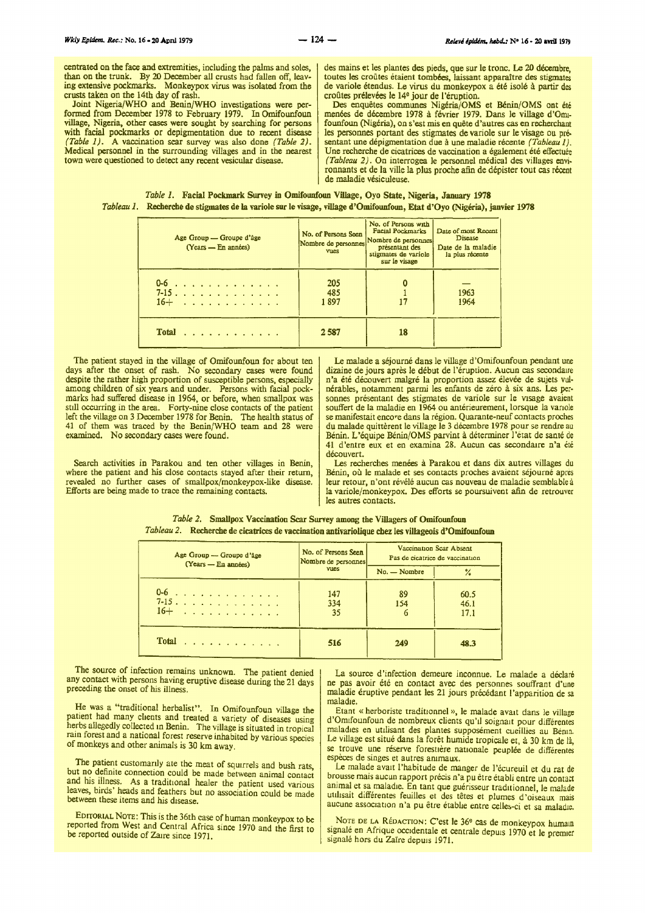centrated on the face and extremities, including the palms and soles, than on the trunk. By 20 December all crusts had fallen off, leaving extensive pockmarks. Monkeypox virus was isolated from the crusts taken on the 14th day of rash.

Joint Nigeria/WHO and Benin/WHO investigations were per-formed from December 1978 to February 1979. In Omifounfoun village, Nigeria, other cases were sought by searching for persons with facial pockmarks or depigmentation due to recent disease *(Table 1).* A vaccination scar survey was also done *(Table 2).*  Medical personnel in the surrounding villages and in the nearest town were questioned to detect any recent vesicular disease.

des mains et les plantes des pieds, que sur le tronc. Le 20 décembre, toutes les croûtes étaient tombées, laissant apparaître des stigmates de variole etendus. Le virus du monkeypox a ete isole a partir des croûtes prélevées le 14<sup>e</sup> jour de l'éruption.

Des enquêtes communes Nigéria/OMS et Bénin/OMS ont été menées de décembre 1978 à février 1979. Dans le village d'Omifounfoun (Nigéria), on s'est mis en quête d'autres cas en recherchant les personnes portant des stigmates de variole sur le visage ou présentant une dépigmentation due à une maladie récente *(Tableau 1)*. Une recherche de cicatrices de vaccination a également été effectuée *(Tableau 2).* On interrogea le personnel médical des villages environnants et de Ia ville la plus proche afin de depister tout cas recent de maladie vésiculeuse.

|  | <b>Table 1. Facial Pockmark Survey in Omifounfoun Village, Oyo State, Nigeria, January 1978</b>                          |  |  |  |  |
|--|--------------------------------------------------------------------------------------------------------------------------|--|--|--|--|
|  | Tableau 1. Recherche de stigmates de la variole sur le visage, village d'Omifounfoun, Etat d'Oyo (Nigéria), janvier 1978 |  |  |  |  |

| Age Group — Groupe d'âge<br>$(Years - En$ années) | No. of Persons Seen<br>Nombre de personnes<br><b>vues</b> | No. of Persons with<br><b>Facial Pockmarks</b><br>Nombre de personnes<br>présentant des<br>stigmates de variole<br>sur le visage | Date of most Recent<br><b>Disease</b><br>Date de la maladie<br>la plus récente |
|---------------------------------------------------|-----------------------------------------------------------|----------------------------------------------------------------------------------------------------------------------------------|--------------------------------------------------------------------------------|
| 0-6<br>7-15 16+                                   | 205<br>485<br>1897                                        | 17                                                                                                                               | 1963<br>1964                                                                   |
| Total $\ldots$                                    | 2587                                                      | 18                                                                                                                               |                                                                                |

The patient stayed in the village of Omifounfoun for about ten days after the onset of rash. No secondary cases were found despite the rather high proportion of susceptible persons, especially among children of six years and under. Persons with facial pockmarks had suffered disease in 1964, or before, when smallpox was still occurring in the area. Forty-nine close contacts of the patient left the village on 3 December 1978 for Benin. The health status of 41 of them was traced by the Benin/WHO team and 28 were examined. No secondary cases were found.

Search activities in Parakou and ten other villages in Benin, where the patient and his close contacts stayed after their return, revealed no further cases of smallpox/monkeypox-like disease. Efforts are being made to trace the remaining contacts.

Le malade a séjourné dans le village d'Omifounfoun pendant une dizaine de jours après le début de l'éruption. Aucun cas secondaire n'a été découvert malgré la proportion assez élevée de sujets vulnérables, notamment parmi les enfants de zéro à six ans. Les personnes présentant des stigmates de variole sur le visage avaient souffert de la maladie en 1964 ou antérieurement, lorsque la variole se manifestait encore dans la région. Quarante-neuf contacts proches du malade quittèrent le village le 3 décembre 1978 pour se rendre au Benin. L'equipe Benin/OMS parvint a determiner J'etat de sante de 41 d'entre eux et en examina 28. Aucun cas secondaire n'a été découvert.

Les recherches menées à Parakou et dans dix autres villages du Bénin, où le malade et ses contacts proches avaient séjourné après leur retour, n'ont révélé aucun cas nouveau de maladie semblable à Ia variole/monkeypox. Des efforts se poursuivent afin de retrouver les autres contacts.

|  | <i>Table 2.</i> Smallpox Vaccination Scar Survey among the Villagers of Omifounfoun                |
|--|----------------------------------------------------------------------------------------------------|
|  | Tableau 2. Recherche de cicatrices de vaccination antivariolique chez les villageois d'Omifounfoun |

| Age Group - Groupe d'âge<br>(Years - En années) | No. of Persons Seen<br>Nombre de personnes | Vaccination Scar Absent<br>Pas de cicatrice de vaccination |                      |  |
|-------------------------------------------------|--------------------------------------------|------------------------------------------------------------|----------------------|--|
|                                                 | <b>VUCS</b>                                | $No. - Nombre$                                             | %                    |  |
| 0-6<br>7-15.<br>$16 + \ldots + \ldots + \ldots$ | 147<br>334<br>35                           | 89<br>154                                                  | 60.5<br>46.1<br>17.1 |  |
| Total $\ldots$ , $\ldots$ , $\ldots$            | 516                                        | 249                                                        | 48.3                 |  |

The source of infection remains unknown. The patient denied any contact with persons having eruptive disease during the 21 days preceding the onset of his illness.

He was a "traditional herbalist". In Omifounfoun village the patient had many chents and treated a variety of diseases using herbs allegedly collected in Benin. The village is situated in tropical rain forest and a national forest reserve inhabited by various species of monkeys and other animals is 30 km away.

The patient customarily ate the meat of squirrels and bush rats, but no definite connection could be made between animal contact and his illness. As a traditional healer the patient used various leaves, birds' heads and feathers but no association could be made between these items and his disease.

EotTORIAL NoTE: This is the 36th case of human monkeypox to be reported from West and Central Africa since 1970 and the first to be reported outside of Zaire since 1971.

La source d'infection demeure inconnue. Le malade a déclaré ne pas avoir été en contact avec des personnes souffrant d'une maladie éruptive pendant les 21 jours précédant l'apparition de sa<br>maladie.

Etant « herboriste traditionnel », le malade avait dans le village d'Omtfounfoun de nombreux clients qu'il soignait pour différentes maladies en utllisant des plantes supposement cueillies au Benm. Le village est situé dans la forêt humide tropicale et, à 30 km de là, se trouve une réserve forestière nationale peuplée de différentes especes de singes et autres ammaux.

Le malade avait l'habitude de manger de l'écureuil et du rat de brousse mais aucun rapport précis n'a pu être établi entre un contact animal et sa maladie. En tant que guérisseur traditionnel, le malade utilisait différentes feuilles et des têtes et plumes d'oiseaux mais aucune association n'a pu être établie entre celles-ci et sa maladie.

NOTE DE LA RÉDACTION: C'est le 36<sup>6</sup> cas de monkeypox humain signalé en Afrique occidentale et centrale depuis 1970 et le premier signalé hors du Zaïre depuis 1971.